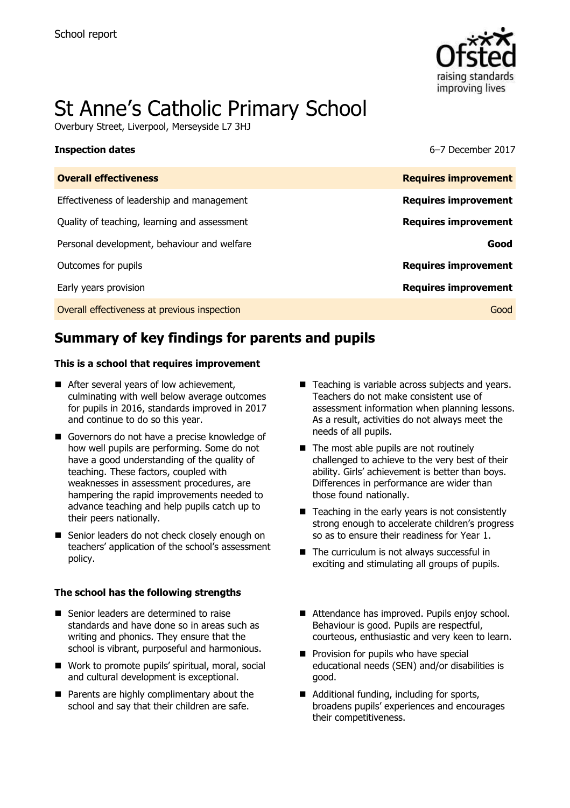

# St Anne"s Catholic Primary School

Overbury Street, Liverpool, Merseyside L7 3HJ

**Inspection dates** 6–7 December 2017

| <b>Overall effectiveness</b>                 | <b>Requires improvement</b> |
|----------------------------------------------|-----------------------------|
| Effectiveness of leadership and management   | <b>Requires improvement</b> |
| Quality of teaching, learning and assessment | <b>Requires improvement</b> |
| Personal development, behaviour and welfare  | Good                        |
| Outcomes for pupils                          | <b>Requires improvement</b> |
| Early years provision                        | <b>Requires improvement</b> |
| Overall effectiveness at previous inspection | Good                        |
|                                              |                             |

# **Summary of key findings for parents and pupils**

### **This is a school that requires improvement**

- After several years of low achievement, culminating with well below average outcomes for pupils in 2016, standards improved in 2017 and continue to do so this year.
- Governors do not have a precise knowledge of how well pupils are performing. Some do not have a good understanding of the quality of teaching. These factors, coupled with weaknesses in assessment procedures, are hampering the rapid improvements needed to advance teaching and help pupils catch up to their peers nationally.
- Senior leaders do not check closely enough on teachers" application of the school"s assessment policy.

### **The school has the following strengths**

- Senior leaders are determined to raise standards and have done so in areas such as writing and phonics. They ensure that the school is vibrant, purposeful and harmonious.
- Work to promote pupils' spiritual, moral, social and cultural development is exceptional.
- **Parents are highly complimentary about the** school and say that their children are safe.
- Teaching is variable across subjects and vears. Teachers do not make consistent use of assessment information when planning lessons. As a result, activities do not always meet the needs of all pupils.
- $\blacksquare$  The most able pupils are not routinely challenged to achieve to the very best of their ability. Girls' achievement is better than boys. Differences in performance are wider than those found nationally.
- $\blacksquare$  Teaching in the early years is not consistently strong enough to accelerate children's progress so as to ensure their readiness for Year 1.
- $\blacksquare$  The curriculum is not always successful in exciting and stimulating all groups of pupils.
- Attendance has improved. Pupils enjoy school. Behaviour is good. Pupils are respectful, courteous, enthusiastic and very keen to learn.
- $\blacksquare$  Provision for pupils who have special educational needs (SEN) and/or disabilities is good.
- Additional funding, including for sports, broadens pupils" experiences and encourages their competitiveness.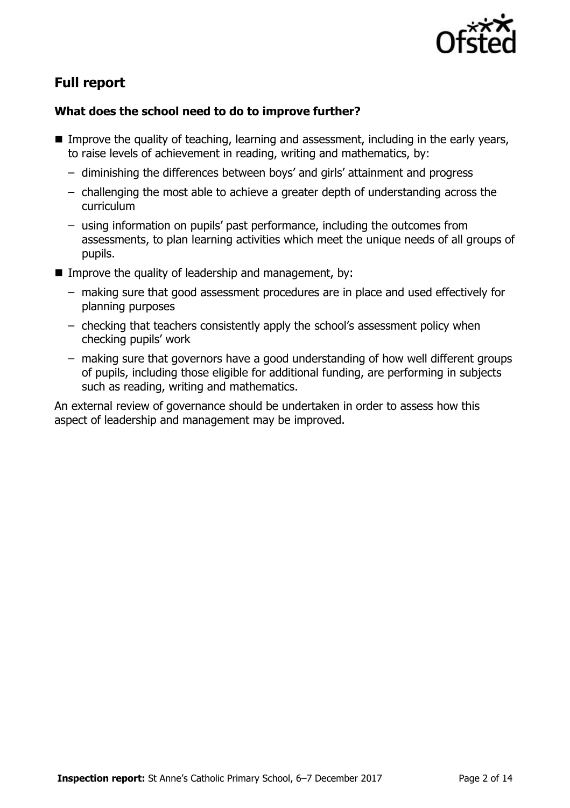

# **Full report**

### **What does the school need to do to improve further?**

- Improve the quality of teaching, learning and assessment, including in the early years, to raise levels of achievement in reading, writing and mathematics, by:
	- diminishing the differences between boys" and girls" attainment and progress
	- challenging the most able to achieve a greater depth of understanding across the curriculum
	- using information on pupils" past performance, including the outcomes from assessments, to plan learning activities which meet the unique needs of all groups of pupils.
- Improve the quality of leadership and management, by:
	- making sure that good assessment procedures are in place and used effectively for planning purposes
	- checking that teachers consistently apply the school"s assessment policy when checking pupils" work
	- making sure that governors have a good understanding of how well different groups of pupils, including those eligible for additional funding, are performing in subjects such as reading, writing and mathematics.

An external review of governance should be undertaken in order to assess how this aspect of leadership and management may be improved.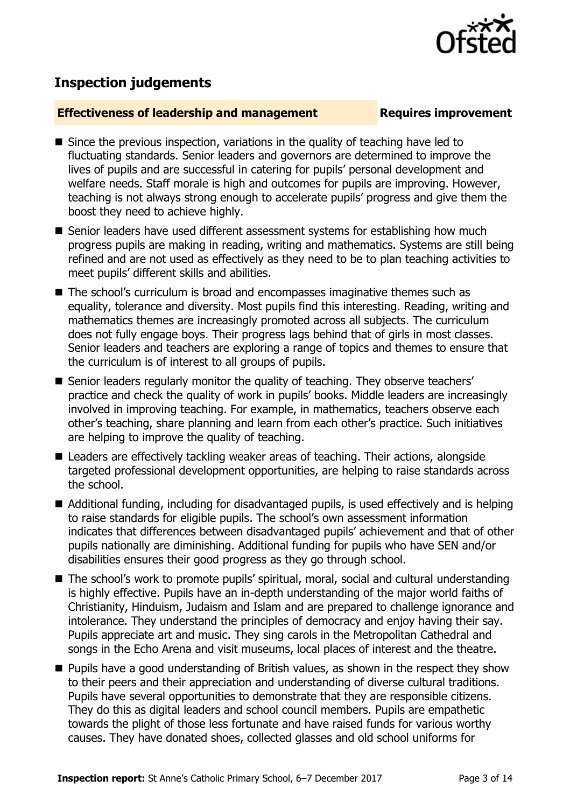## **Inspection judgements**

### **Effectiveness of leadership and management Requires improvement**

- Since the previous inspection, variations in the quality of teaching have led to fluctuating standards. Senior leaders and governors are determined to improve the lives of pupils and are successful in catering for pupils" personal development and welfare needs. Staff morale is high and outcomes for pupils are improving. However, teaching is not always strong enough to accelerate pupils" progress and give them the boost they need to achieve highly.
- Senior leaders have used different assessment systems for establishing how much progress pupils are making in reading, writing and mathematics. Systems are still being refined and are not used as effectively as they need to be to plan teaching activities to meet pupils" different skills and abilities.
- The school's curriculum is broad and encompasses imaginative themes such as equality, tolerance and diversity. Most pupils find this interesting. Reading, writing and mathematics themes are increasingly promoted across all subjects. The curriculum does not fully engage boys. Their progress lags behind that of girls in most classes. Senior leaders and teachers are exploring a range of topics and themes to ensure that the curriculum is of interest to all groups of pupils.
- Senior leaders regularly monitor the quality of teaching. They observe teachers' practice and check the quality of work in pupils" books. Middle leaders are increasingly involved in improving teaching. For example, in mathematics, teachers observe each other"s teaching, share planning and learn from each other"s practice. Such initiatives are helping to improve the quality of teaching.
- Leaders are effectively tackling weaker areas of teaching. Their actions, alongside targeted professional development opportunities, are helping to raise standards across the school.
- Additional funding, including for disadvantaged pupils, is used effectively and is helping to raise standards for eligible pupils. The school"s own assessment information indicates that differences between disadvantaged pupils' achievement and that of other pupils nationally are diminishing. Additional funding for pupils who have SEN and/or disabilities ensures their good progress as they go through school.
- The school's work to promote pupils' spiritual, moral, social and cultural understanding is highly effective. Pupils have an in-depth understanding of the major world faiths of Christianity, Hinduism, Judaism and Islam and are prepared to challenge ignorance and intolerance. They understand the principles of democracy and enjoy having their say. Pupils appreciate art and music. They sing carols in the Metropolitan Cathedral and songs in the Echo Arena and visit museums, local places of interest and the theatre.
- **Pupils have a good understanding of British values, as shown in the respect they show** to their peers and their appreciation and understanding of diverse cultural traditions. Pupils have several opportunities to demonstrate that they are responsible citizens. They do this as digital leaders and school council members. Pupils are empathetic towards the plight of those less fortunate and have raised funds for various worthy causes. They have donated shoes, collected glasses and old school uniforms for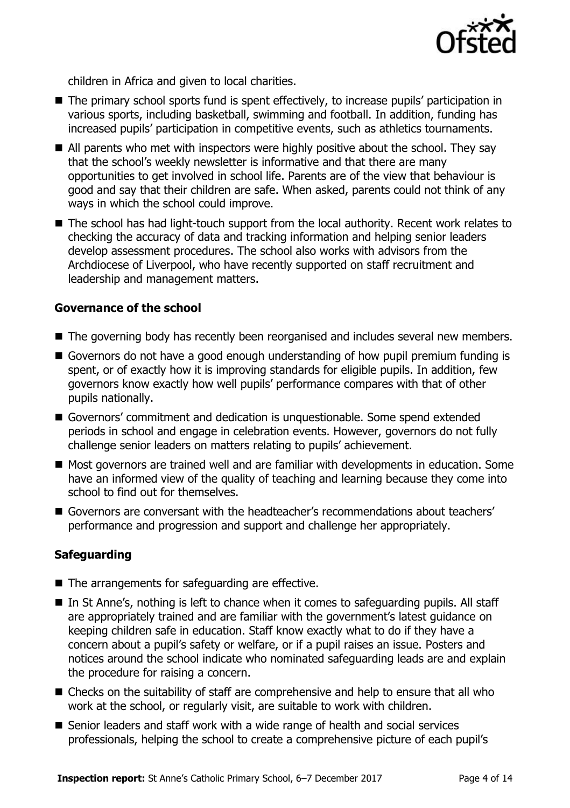

children in Africa and given to local charities.

- The primary school sports fund is spent effectively, to increase pupils' participation in various sports, including basketball, swimming and football. In addition, funding has increased pupils" participation in competitive events, such as athletics tournaments.
- All parents who met with inspectors were highly positive about the school. They say that the school"s weekly newsletter is informative and that there are many opportunities to get involved in school life. Parents are of the view that behaviour is good and say that their children are safe. When asked, parents could not think of any ways in which the school could improve.
- The school has had light-touch support from the local authority. Recent work relates to checking the accuracy of data and tracking information and helping senior leaders develop assessment procedures. The school also works with advisors from the Archdiocese of Liverpool, who have recently supported on staff recruitment and leadership and management matters.

### **Governance of the school**

- The governing body has recently been reorganised and includes several new members.
- Governors do not have a good enough understanding of how pupil premium funding is spent, or of exactly how it is improving standards for eligible pupils. In addition, few governors know exactly how well pupils" performance compares with that of other pupils nationally.
- Governors' commitment and dedication is unquestionable. Some spend extended periods in school and engage in celebration events. However, governors do not fully challenge senior leaders on matters relating to pupils' achievement.
- Most governors are trained well and are familiar with developments in education. Some have an informed view of the quality of teaching and learning because they come into school to find out for themselves.
- Governors are conversant with the headteacher's recommendations about teachers' performance and progression and support and challenge her appropriately.

### **Safeguarding**

- $\blacksquare$  The arrangements for safeguarding are effective.
- $\blacksquare$  In St Anne's, nothing is left to chance when it comes to safeguarding pupils. All staff are appropriately trained and are familiar with the government's latest guidance on keeping children safe in education. Staff know exactly what to do if they have a concern about a pupil"s safety or welfare, or if a pupil raises an issue. Posters and notices around the school indicate who nominated safeguarding leads are and explain the procedure for raising a concern.
- Checks on the suitability of staff are comprehensive and help to ensure that all who work at the school, or regularly visit, are suitable to work with children.
- Senior leaders and staff work with a wide range of health and social services professionals, helping the school to create a comprehensive picture of each pupil"s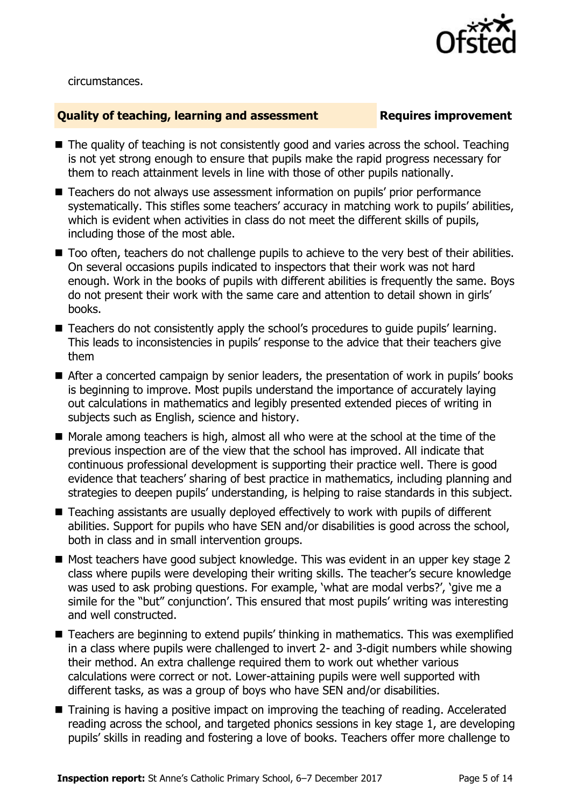

circumstances.

### **Quality of teaching, learning and assessment Fig. 2.1 Requires improvement**

- The quality of teaching is not consistently good and varies across the school. Teaching is not yet strong enough to ensure that pupils make the rapid progress necessary for them to reach attainment levels in line with those of other pupils nationally.
- Teachers do not always use assessment information on pupils' prior performance systematically. This stifles some teachers' accuracy in matching work to pupils' abilities, which is evident when activities in class do not meet the different skills of pupils, including those of the most able.
- $\blacksquare$  Too often, teachers do not challenge pupils to achieve to the very best of their abilities. On several occasions pupils indicated to inspectors that their work was not hard enough. Work in the books of pupils with different abilities is frequently the same. Boys do not present their work with the same care and attention to detail shown in girls" books.
- Teachers do not consistently apply the school's procedures to quide pupils' learning. This leads to inconsistencies in pupils' response to the advice that their teachers give them
- After a concerted campaign by senior leaders, the presentation of work in pupils' books is beginning to improve. Most pupils understand the importance of accurately laying out calculations in mathematics and legibly presented extended pieces of writing in subjects such as English, science and history.
- $\blacksquare$  Morale among teachers is high, almost all who were at the school at the time of the previous inspection are of the view that the school has improved. All indicate that continuous professional development is supporting their practice well. There is good evidence that teachers' sharing of best practice in mathematics, including planning and strategies to deepen pupils' understanding, is helping to raise standards in this subject.
- Teaching assistants are usually deployed effectively to work with pupils of different abilities. Support for pupils who have SEN and/or disabilities is good across the school, both in class and in small intervention groups.
- Most teachers have good subject knowledge. This was evident in an upper key stage 2 class where pupils were developing their writing skills. The teacher"s secure knowledge was used to ask probing questions. For example, 'what are modal verbs?', 'give me a simile for the "but" conjunction'. This ensured that most pupils' writing was interesting and well constructed.
- Teachers are beginning to extend pupils' thinking in mathematics. This was exemplified in a class where pupils were challenged to invert 2- and 3-digit numbers while showing their method. An extra challenge required them to work out whether various calculations were correct or not. Lower-attaining pupils were well supported with different tasks, as was a group of boys who have SEN and/or disabilities.
- Training is having a positive impact on improving the teaching of reading. Accelerated reading across the school, and targeted phonics sessions in key stage 1, are developing pupils" skills in reading and fostering a love of books. Teachers offer more challenge to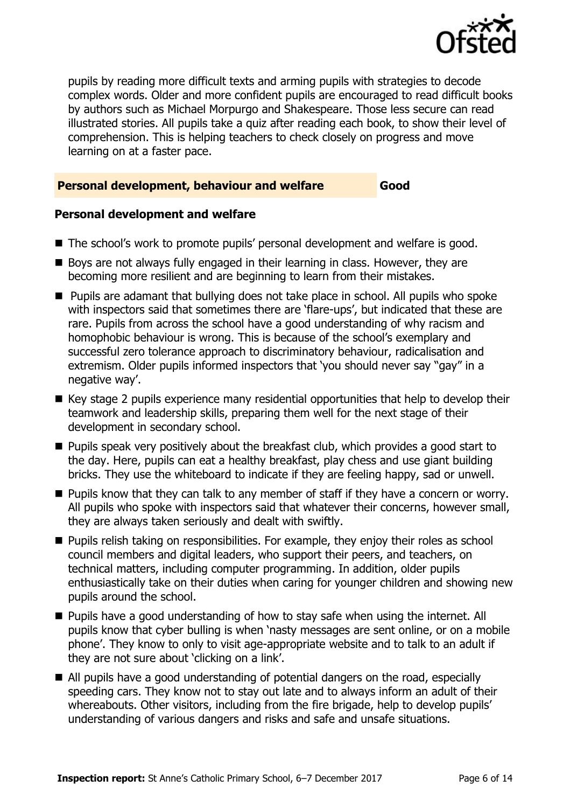

pupils by reading more difficult texts and arming pupils with strategies to decode complex words. Older and more confident pupils are encouraged to read difficult books by authors such as Michael Morpurgo and Shakespeare. Those less secure can read illustrated stories. All pupils take a quiz after reading each book, to show their level of comprehension. This is helping teachers to check closely on progress and move learning on at a faster pace.

### **Personal development, behaviour and welfare Good**

### **Personal development and welfare**

- The school's work to promote pupils' personal development and welfare is good.
- Boys are not always fully engaged in their learning in class. However, they are becoming more resilient and are beginning to learn from their mistakes.
- **Pupils are adamant that bullying does not take place in school. All pupils who spoke** with inspectors said that sometimes there are 'flare-ups', but indicated that these are rare. Pupils from across the school have a good understanding of why racism and homophobic behaviour is wrong. This is because of the school"s exemplary and successful zero tolerance approach to discriminatory behaviour, radicalisation and extremism. Older pupils informed inspectors that 'you should never say "gay" in a negative way'.
- $\blacksquare$  Key stage 2 pupils experience many residential opportunities that help to develop their teamwork and leadership skills, preparing them well for the next stage of their development in secondary school.
- **Pupils speak very positively about the breakfast club, which provides a good start to** the day. Here, pupils can eat a healthy breakfast, play chess and use giant building bricks. They use the whiteboard to indicate if they are feeling happy, sad or unwell.
- **Pupils know that they can talk to any member of staff if they have a concern or worry.** All pupils who spoke with inspectors said that whatever their concerns, however small, they are always taken seriously and dealt with swiftly.
- **Pupils relish taking on responsibilities. For example, they enjoy their roles as school** council members and digital leaders, who support their peers, and teachers, on technical matters, including computer programming. In addition, older pupils enthusiastically take on their duties when caring for younger children and showing new pupils around the school.
- **Pupils have a good understanding of how to stay safe when using the internet. All** pupils know that cyber bulling is when "nasty messages are sent online, or on a mobile phone". They know to only to visit age-appropriate website and to talk to an adult if they are not sure about 'clicking on a link'.
- All pupils have a good understanding of potential dangers on the road, especially speeding cars. They know not to stay out late and to always inform an adult of their whereabouts. Other visitors, including from the fire brigade, help to develop pupils' understanding of various dangers and risks and safe and unsafe situations.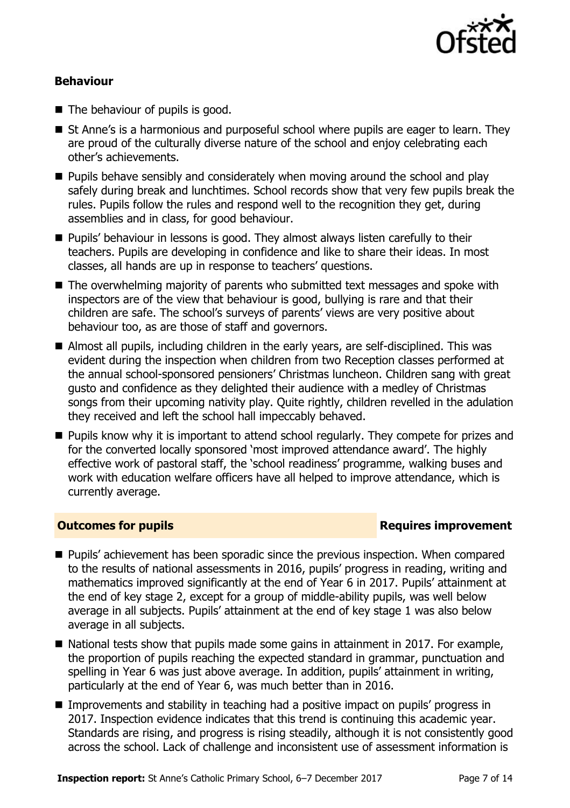

### **Behaviour**

- The behaviour of pupils is good.
- $\blacksquare$  St Anne's is a harmonious and purposeful school where pupils are eager to learn. They are proud of the culturally diverse nature of the school and enjoy celebrating each other"s achievements.
- **Pupils behave sensibly and considerately when moving around the school and play** safely during break and lunchtimes. School records show that very few pupils break the rules. Pupils follow the rules and respond well to the recognition they get, during assemblies and in class, for good behaviour.
- Pupils' behaviour in lessons is good. They almost always listen carefully to their teachers. Pupils are developing in confidence and like to share their ideas. In most classes, all hands are up in response to teachers' questions.
- The overwhelming majority of parents who submitted text messages and spoke with inspectors are of the view that behaviour is good, bullying is rare and that their children are safe. The school's surveys of parents' views are very positive about behaviour too, as are those of staff and governors.
- Almost all pupils, including children in the early years, are self-disciplined. This was evident during the inspection when children from two Reception classes performed at the annual school-sponsored pensioners" Christmas luncheon. Children sang with great gusto and confidence as they delighted their audience with a medley of Christmas songs from their upcoming nativity play. Quite rightly, children revelled in the adulation they received and left the school hall impeccably behaved.
- **Pupils know why it is important to attend school regularly. They compete for prizes and** for the converted locally sponsored 'most improved attendance award'. The highly effective work of pastoral staff, the "school readiness" programme, walking buses and work with education welfare officers have all helped to improve attendance, which is currently average.

### **Outcomes for pupils Requires improvement**

- **Pupils'** achievement has been sporadic since the previous inspection. When compared to the results of national assessments in 2016, pupils" progress in reading, writing and mathematics improved significantly at the end of Year 6 in 2017. Pupils' attainment at the end of key stage 2, except for a group of middle-ability pupils, was well below average in all subjects. Pupils' attainment at the end of key stage 1 was also below average in all subjects.
- $\blacksquare$  National tests show that pupils made some gains in attainment in 2017. For example, the proportion of pupils reaching the expected standard in grammar, punctuation and spelling in Year 6 was just above average. In addition, pupils' attainment in writing, particularly at the end of Year 6, was much better than in 2016.
- Improvements and stability in teaching had a positive impact on pupils' progress in 2017. Inspection evidence indicates that this trend is continuing this academic year. Standards are rising, and progress is rising steadily, although it is not consistently good across the school. Lack of challenge and inconsistent use of assessment information is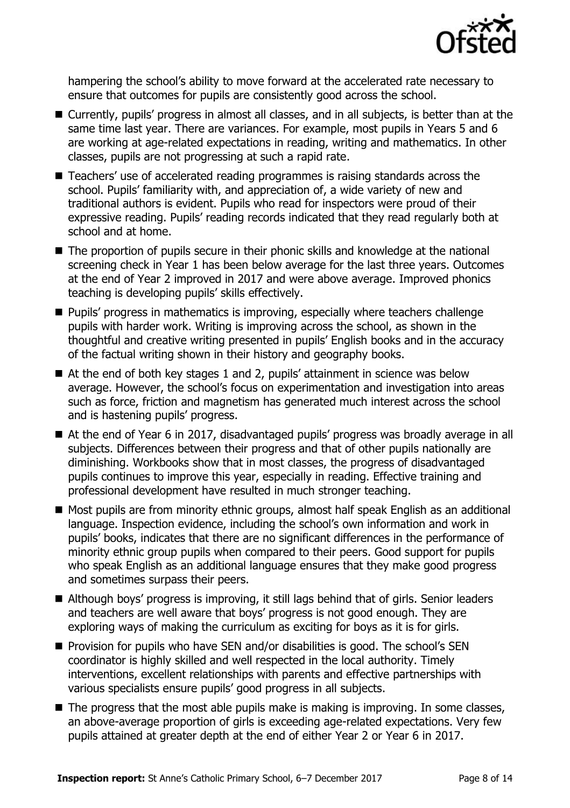

hampering the school"s ability to move forward at the accelerated rate necessary to ensure that outcomes for pupils are consistently good across the school.

- Currently, pupils' progress in almost all classes, and in all subjects, is better than at the same time last year. There are variances. For example, most pupils in Years 5 and 6 are working at age-related expectations in reading, writing and mathematics. In other classes, pupils are not progressing at such a rapid rate.
- $\blacksquare$  Teachers' use of accelerated reading programmes is raising standards across the school. Pupils' familiarity with, and appreciation of, a wide variety of new and traditional authors is evident. Pupils who read for inspectors were proud of their expressive reading. Pupils' reading records indicated that they read regularly both at school and at home.
- The proportion of pupils secure in their phonic skills and knowledge at the national screening check in Year 1 has been below average for the last three years. Outcomes at the end of Year 2 improved in 2017 and were above average. Improved phonics teaching is developing pupils" skills effectively.
- **Pupils' progress in mathematics is improving, especially where teachers challenge** pupils with harder work. Writing is improving across the school, as shown in the thoughtful and creative writing presented in pupils" English books and in the accuracy of the factual writing shown in their history and geography books.
- $\blacksquare$  At the end of both key stages 1 and 2, pupils' attainment in science was below average. However, the school's focus on experimentation and investigation into areas such as force, friction and magnetism has generated much interest across the school and is hastening pupils' progress.
- At the end of Year 6 in 2017, disadvantaged pupils' progress was broadly average in all subjects. Differences between their progress and that of other pupils nationally are diminishing. Workbooks show that in most classes, the progress of disadvantaged pupils continues to improve this year, especially in reading. Effective training and professional development have resulted in much stronger teaching.
- Most pupils are from minority ethnic groups, almost half speak English as an additional language. Inspection evidence, including the school's own information and work in pupils" books, indicates that there are no significant differences in the performance of minority ethnic group pupils when compared to their peers. Good support for pupils who speak English as an additional language ensures that they make good progress and sometimes surpass their peers.
- Although boys' progress is improving, it still lags behind that of girls. Senior leaders and teachers are well aware that boys" progress is not good enough. They are exploring ways of making the curriculum as exciting for boys as it is for girls.
- **Provision for pupils who have SEN and/or disabilities is good. The school's SEN** coordinator is highly skilled and well respected in the local authority. Timely interventions, excellent relationships with parents and effective partnerships with various specialists ensure pupils" good progress in all subjects.
- $\blacksquare$  The progress that the most able pupils make is making is improving. In some classes, an above-average proportion of girls is exceeding age-related expectations. Very few pupils attained at greater depth at the end of either Year 2 or Year 6 in 2017.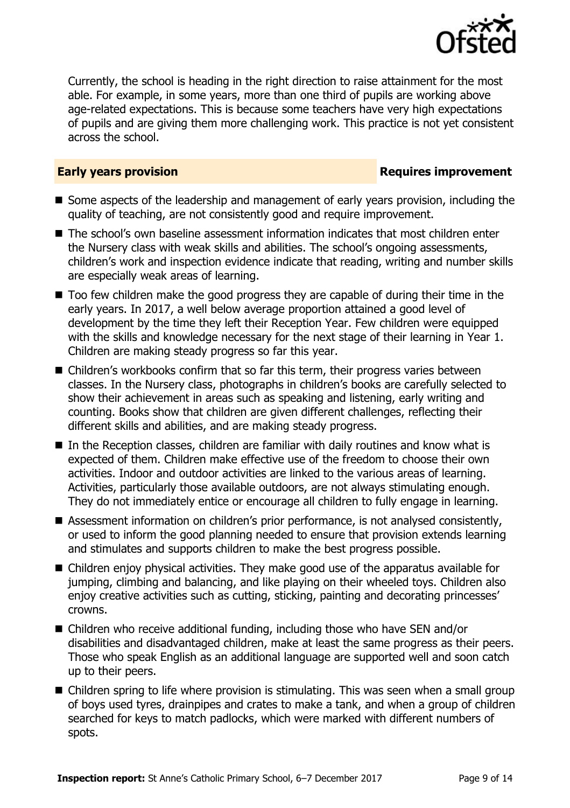

Currently, the school is heading in the right direction to raise attainment for the most able. For example, in some years, more than one third of pupils are working above age-related expectations. This is because some teachers have very high expectations of pupils and are giving them more challenging work. This practice is not yet consistent across the school.

### **Early years provision**

- Some aspects of the leadership and management of early years provision, including the quality of teaching, are not consistently good and require improvement.
- The school's own baseline assessment information indicates that most children enter the Nursery class with weak skills and abilities. The school"s ongoing assessments, children"s work and inspection evidence indicate that reading, writing and number skills are especially weak areas of learning.
- Too few children make the good progress they are capable of during their time in the early years. In 2017, a well below average proportion attained a good level of development by the time they left their Reception Year. Few children were equipped with the skills and knowledge necessary for the next stage of their learning in Year 1. Children are making steady progress so far this year.
- Children's workbooks confirm that so far this term, their progress varies between classes. In the Nursery class, photographs in children"s books are carefully selected to show their achievement in areas such as speaking and listening, early writing and counting. Books show that children are given different challenges, reflecting their different skills and abilities, and are making steady progress.
- In the Reception classes, children are familiar with daily routines and know what is expected of them. Children make effective use of the freedom to choose their own activities. Indoor and outdoor activities are linked to the various areas of learning. Activities, particularly those available outdoors, are not always stimulating enough. They do not immediately entice or encourage all children to fully engage in learning.
- Assessment information on children's prior performance, is not analysed consistently, or used to inform the good planning needed to ensure that provision extends learning and stimulates and supports children to make the best progress possible.
- Children enjoy physical activities. They make good use of the apparatus available for jumping, climbing and balancing, and like playing on their wheeled toys. Children also enjoy creative activities such as cutting, sticking, painting and decorating princesses' crowns.
- Children who receive additional funding, including those who have SEN and/or disabilities and disadvantaged children, make at least the same progress as their peers. Those who speak English as an additional language are supported well and soon catch up to their peers.
- Children spring to life where provision is stimulating. This was seen when a small group of boys used tyres, drainpipes and crates to make a tank, and when a group of children searched for keys to match padlocks, which were marked with different numbers of spots.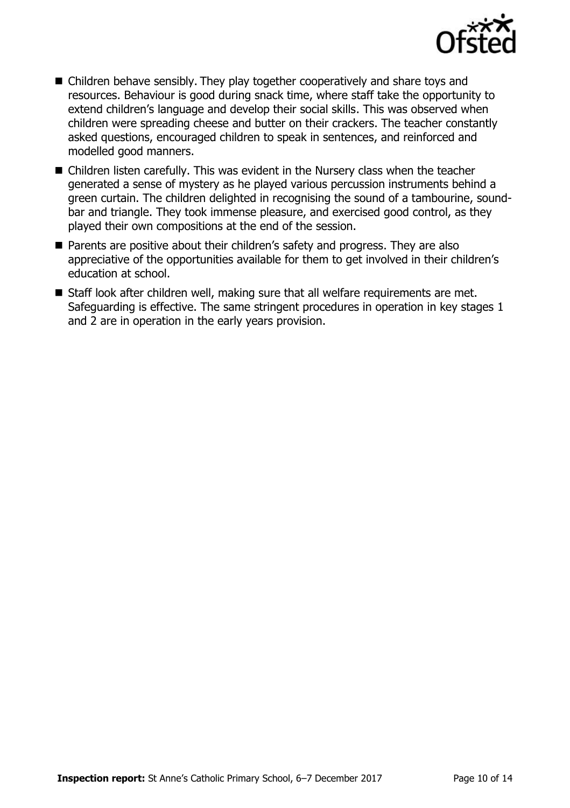

- Children behave sensibly. They play together cooperatively and share toys and resources. Behaviour is good during snack time, where staff take the opportunity to extend children's language and develop their social skills. This was observed when children were spreading cheese and butter on their crackers. The teacher constantly asked questions, encouraged children to speak in sentences, and reinforced and modelled good manners.
- Children listen carefully. This was evident in the Nursery class when the teacher generated a sense of mystery as he played various percussion instruments behind a green curtain. The children delighted in recognising the sound of a tambourine, soundbar and triangle. They took immense pleasure, and exercised good control, as they played their own compositions at the end of the session.
- Parents are positive about their children's safety and progress. They are also appreciative of the opportunities available for them to get involved in their children's education at school.
- Staff look after children well, making sure that all welfare requirements are met. Safeguarding is effective. The same stringent procedures in operation in key stages 1 and 2 are in operation in the early years provision.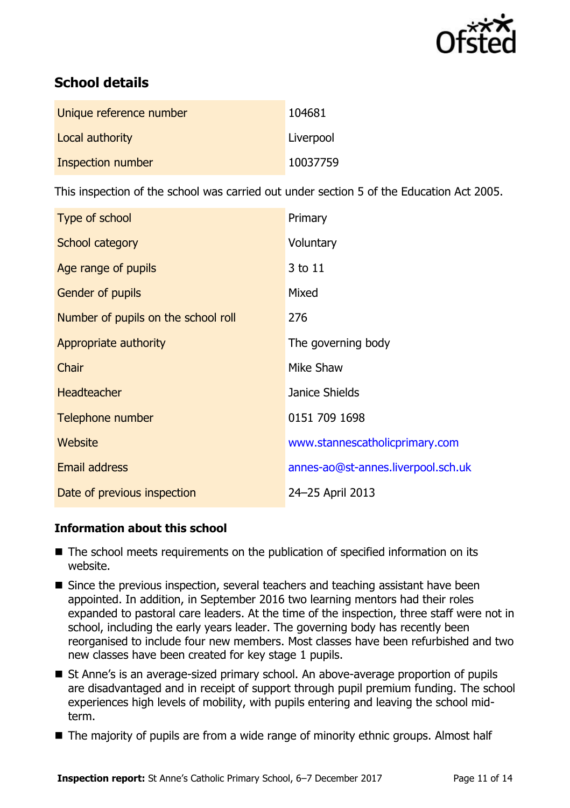

# **School details**

| Unique reference number | 104681    |
|-------------------------|-----------|
| Local authority         | Liverpool |
| Inspection number       | 10037759  |

This inspection of the school was carried out under section 5 of the Education Act 2005.

| Type of school                      | Primary                            |
|-------------------------------------|------------------------------------|
| School category                     | Voluntary                          |
| Age range of pupils                 | 3 to 11                            |
| <b>Gender of pupils</b>             | Mixed                              |
| Number of pupils on the school roll | 276                                |
| Appropriate authority               | The governing body                 |
| Chair                               | Mike Shaw                          |
| <b>Headteacher</b>                  | Janice Shields                     |
| Telephone number                    | 0151 709 1698                      |
| Website                             | www.stannescatholicprimary.com     |
| <b>Email address</b>                | annes-ao@st-annes.liverpool.sch.uk |
| Date of previous inspection         | 24-25 April 2013                   |

### **Information about this school**

- The school meets requirements on the publication of specified information on its website.
- $\blacksquare$  Since the previous inspection, several teachers and teaching assistant have been appointed. In addition, in September 2016 two learning mentors had their roles expanded to pastoral care leaders. At the time of the inspection, three staff were not in school, including the early years leader. The governing body has recently been reorganised to include four new members. Most classes have been refurbished and two new classes have been created for key stage 1 pupils.
- St Anne's is an average-sized primary school. An above-average proportion of pupils are disadvantaged and in receipt of support through pupil premium funding. The school experiences high levels of mobility, with pupils entering and leaving the school midterm.
- The majority of pupils are from a wide range of minority ethnic groups. Almost half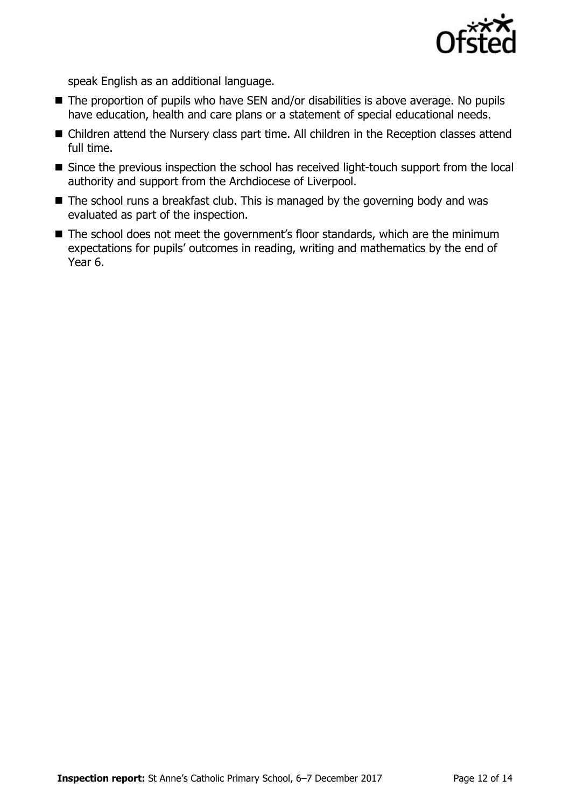

speak English as an additional language.

- The proportion of pupils who have SEN and/or disabilities is above average. No pupils have education, health and care plans or a statement of special educational needs.
- Children attend the Nursery class part time. All children in the Reception classes attend full time.
- Since the previous inspection the school has received light-touch support from the local authority and support from the Archdiocese of Liverpool.
- The school runs a breakfast club. This is managed by the governing body and was evaluated as part of the inspection.
- $\blacksquare$  The school does not meet the government's floor standards, which are the minimum expectations for pupils' outcomes in reading, writing and mathematics by the end of Year 6.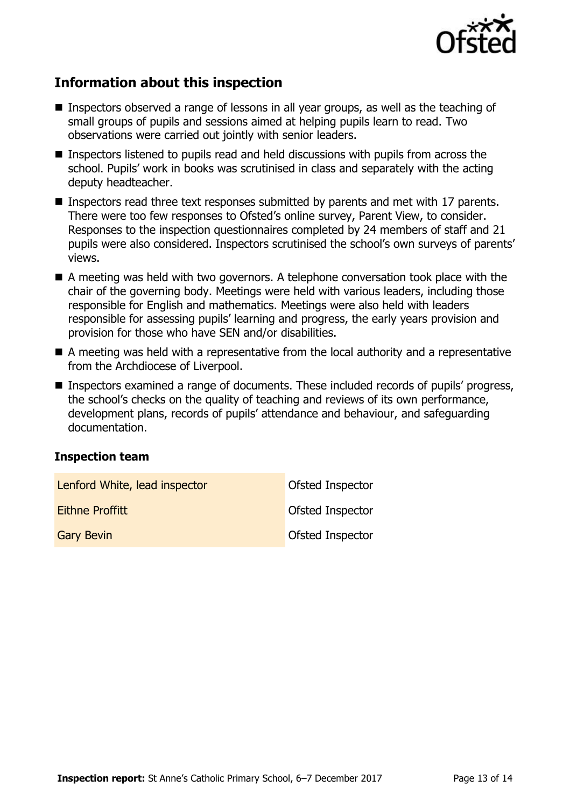

# **Information about this inspection**

- Inspectors observed a range of lessons in all year groups, as well as the teaching of small groups of pupils and sessions aimed at helping pupils learn to read. Two observations were carried out jointly with senior leaders.
- Inspectors listened to pupils read and held discussions with pupils from across the school. Pupils' work in books was scrutinised in class and separately with the acting deputy headteacher.
- Inspectors read three text responses submitted by parents and met with 17 parents. There were too few responses to Ofsted"s online survey, Parent View, to consider. Responses to the inspection questionnaires completed by 24 members of staff and 21 pupils were also considered. Inspectors scrutinised the school's own surveys of parents' views.
- A meeting was held with two governors. A telephone conversation took place with the chair of the governing body. Meetings were held with various leaders, including those responsible for English and mathematics. Meetings were also held with leaders responsible for assessing pupils" learning and progress, the early years provision and provision for those who have SEN and/or disabilities.
- A meeting was held with a representative from the local authority and a representative from the Archdiocese of Liverpool.
- Inspectors examined a range of documents. These included records of pupils' progress, the school"s checks on the quality of teaching and reviews of its own performance, development plans, records of pupils" attendance and behaviour, and safeguarding documentation.

### **Inspection team**

| Lenford White, lead inspector | Ofsted Inspector        |
|-------------------------------|-------------------------|
| <b>Eithne Proffitt</b>        | <b>Ofsted Inspector</b> |
| <b>Gary Bevin</b>             | <b>Ofsted Inspector</b> |